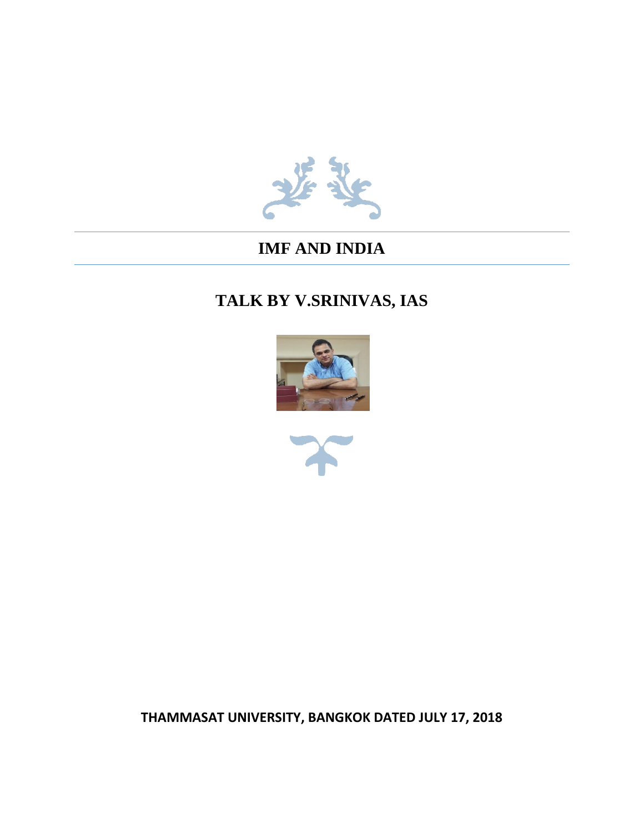

## **IMF AND INDIA**

# **TALK BY V.SRINIVAS, IAS**





**THAMMASAT UNIVERSITY, BANGKOK DATED JULY 17, 2018**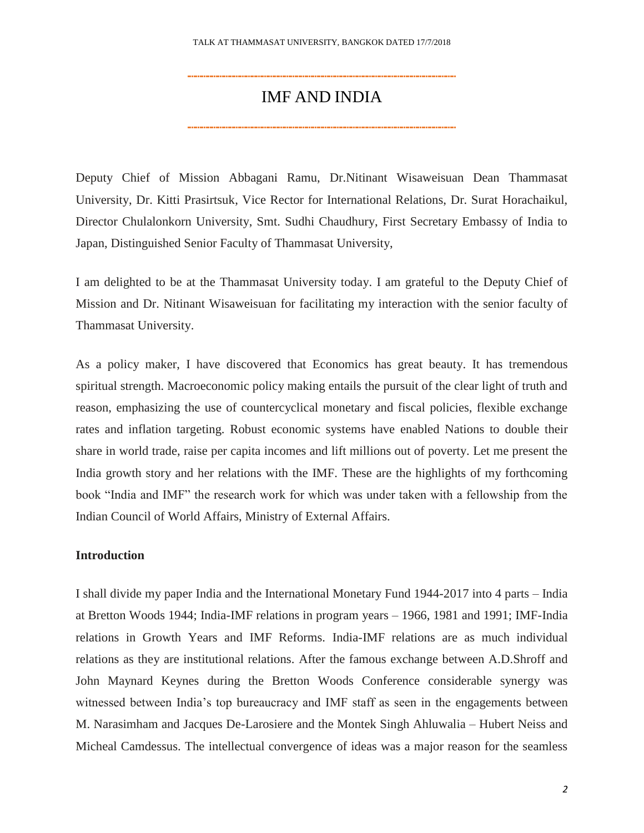### IMF AND INDIA

Deputy Chief of Mission Abbagani Ramu, Dr.Nitinant Wisaweisuan Dean Thammasat University, Dr. Kitti Prasirtsuk, Vice Rector for International Relations, Dr. Surat Horachaikul, Director Chulalonkorn University, Smt. Sudhi Chaudhury, First Secretary Embassy of India to Japan, Distinguished Senior Faculty of Thammasat University,

I am delighted to be at the Thammasat University today. I am grateful to the Deputy Chief of Mission and Dr. Nitinant Wisaweisuan for facilitating my interaction with the senior faculty of Thammasat University.

As a policy maker, I have discovered that Economics has great beauty. It has tremendous spiritual strength. Macroeconomic policy making entails the pursuit of the clear light of truth and reason, emphasizing the use of countercyclical monetary and fiscal policies, flexible exchange rates and inflation targeting. Robust economic systems have enabled Nations to double their share in world trade, raise per capita incomes and lift millions out of poverty. Let me present the India growth story and her relations with the IMF. These are the highlights of my forthcoming book "India and IMF" the research work for which was under taken with a fellowship from the Indian Council of World Affairs, Ministry of External Affairs.

#### **Introduction**

I shall divide my paper India and the International Monetary Fund 1944-2017 into 4 parts – India at Bretton Woods 1944; India-IMF relations in program years – 1966, 1981 and 1991; IMF-India relations in Growth Years and IMF Reforms. India-IMF relations are as much individual relations as they are institutional relations. After the famous exchange between A.D.Shroff and John Maynard Keynes during the Bretton Woods Conference considerable synergy was witnessed between India's top bureaucracy and IMF staff as seen in the engagements between M. Narasimham and Jacques De-Larosiere and the Montek Singh Ahluwalia – Hubert Neiss and Micheal Camdessus. The intellectual convergence of ideas was a major reason for the seamless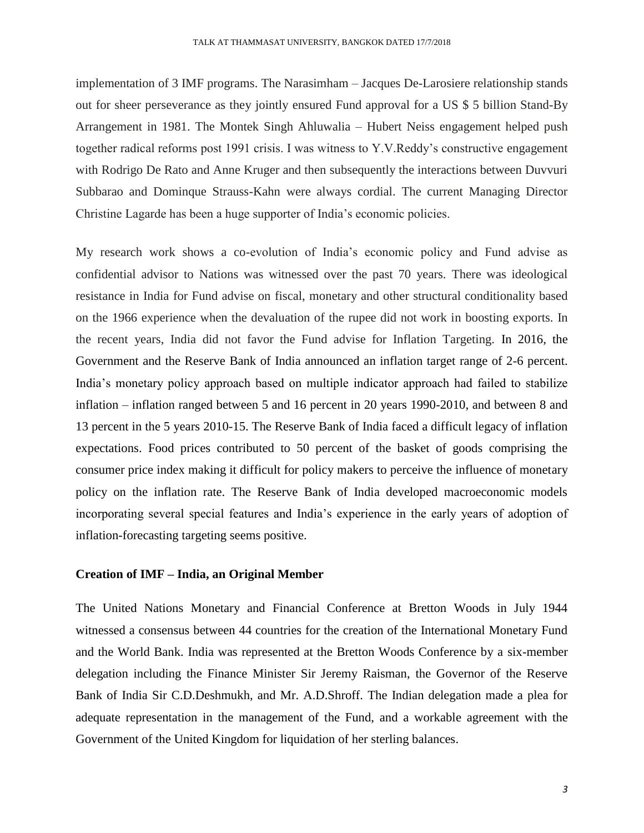implementation of 3 IMF programs. The Narasimham – Jacques De-Larosiere relationship stands out for sheer perseverance as they jointly ensured Fund approval for a US \$ 5 billion Stand-By Arrangement in 1981. The Montek Singh Ahluwalia – Hubert Neiss engagement helped push together radical reforms post 1991 crisis. I was witness to Y.V.Reddy's constructive engagement with Rodrigo De Rato and Anne Kruger and then subsequently the interactions between Duvvuri Subbarao and Dominque Strauss-Kahn were always cordial. The current Managing Director Christine Lagarde has been a huge supporter of India's economic policies.

My research work shows a co-evolution of India's economic policy and Fund advise as confidential advisor to Nations was witnessed over the past 70 years. There was ideological resistance in India for Fund advise on fiscal, monetary and other structural conditionality based on the 1966 experience when the devaluation of the rupee did not work in boosting exports. In the recent years, India did not favor the Fund advise for Inflation Targeting. In 2016, the Government and the Reserve Bank of India announced an inflation target range of 2-6 percent. India's monetary policy approach based on multiple indicator approach had failed to stabilize inflation – inflation ranged between 5 and 16 percent in 20 years 1990-2010, and between 8 and 13 percent in the 5 years 2010-15. The Reserve Bank of India faced a difficult legacy of inflation expectations. Food prices contributed to 50 percent of the basket of goods comprising the consumer price index making it difficult for policy makers to perceive the influence of monetary policy on the inflation rate. The Reserve Bank of India developed macroeconomic models incorporating several special features and India's experience in the early years of adoption of inflation-forecasting targeting seems positive.

#### **Creation of IMF – India, an Original Member**

The United Nations Monetary and Financial Conference at Bretton Woods in July 1944 witnessed a consensus between 44 countries for the creation of the International Monetary Fund and the World Bank. India was represented at the Bretton Woods Conference by a six-member delegation including the Finance Minister Sir Jeremy Raisman, the Governor of the Reserve Bank of India Sir C.D.Deshmukh, and Mr. A.D.Shroff. The Indian delegation made a plea for adequate representation in the management of the Fund, and a workable agreement with the Government of the United Kingdom for liquidation of her sterling balances.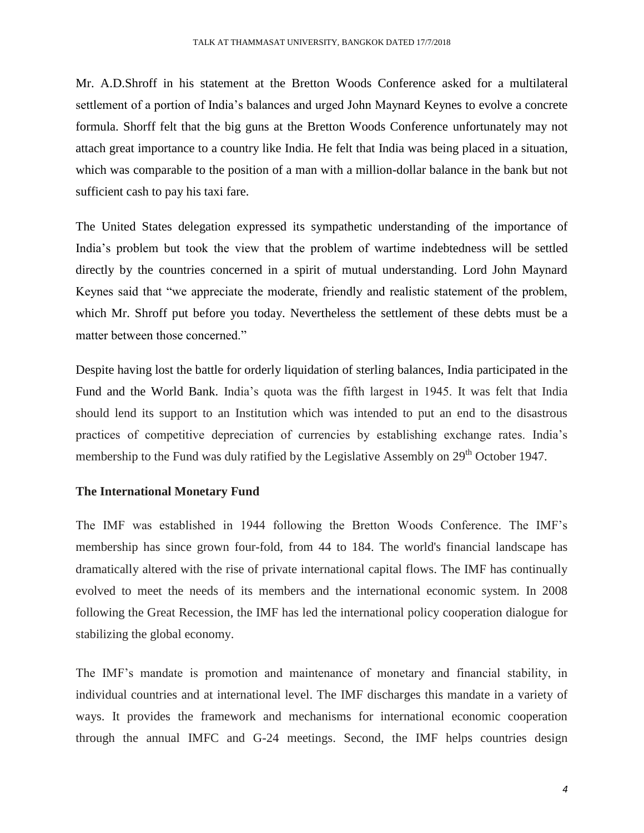Mr. A.D.Shroff in his statement at the Bretton Woods Conference asked for a multilateral settlement of a portion of India's balances and urged John Maynard Keynes to evolve a concrete formula. Shorff felt that the big guns at the Bretton Woods Conference unfortunately may not attach great importance to a country like India. He felt that India was being placed in a situation, which was comparable to the position of a man with a million-dollar balance in the bank but not sufficient cash to pay his taxi fare.

The United States delegation expressed its sympathetic understanding of the importance of India's problem but took the view that the problem of wartime indebtedness will be settled directly by the countries concerned in a spirit of mutual understanding. Lord John Maynard Keynes said that "we appreciate the moderate, friendly and realistic statement of the problem, which Mr. Shroff put before you today. Nevertheless the settlement of these debts must be a matter between those concerned."

Despite having lost the battle for orderly liquidation of sterling balances, India participated in the Fund and the World Bank. India's quota was the fifth largest in 1945. It was felt that India should lend its support to an Institution which was intended to put an end to the disastrous practices of competitive depreciation of currencies by establishing exchange rates. India's membership to the Fund was duly ratified by the Legislative Assembly on  $29<sup>th</sup>$  October 1947.

#### **The International Monetary Fund**

The IMF was established in 1944 following the Bretton Woods Conference. The IMF's membership has since grown four-fold, from 44 to 184. The world's financial landscape has dramatically altered with the rise of private international capital flows. The IMF has continually evolved to meet the needs of its members and the international economic system. In 2008 following the Great Recession, the IMF has led the international policy cooperation dialogue for stabilizing the global economy.

The IMF's mandate is promotion and maintenance of monetary and financial stability, in individual countries and at international level. The IMF discharges this mandate in a variety of ways. It provides the framework and mechanisms for international economic cooperation through the annual IMFC and G-24 meetings. Second, the IMF helps countries design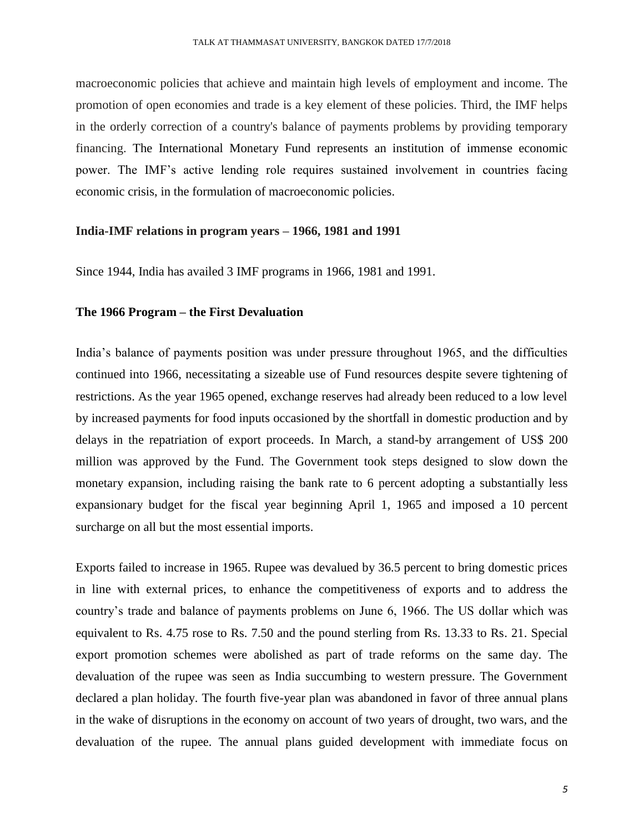macroeconomic policies that achieve and maintain high levels of employment and income. The promotion of open economies and trade is a key element of these policies. Third, the IMF helps in the orderly correction of a country's balance of payments problems by providing temporary financing. The International Monetary Fund represents an institution of immense economic power. The IMF's active lending role requires sustained involvement in countries facing economic crisis, in the formulation of macroeconomic policies.

#### **India-IMF relations in program years – 1966, 1981 and 1991**

Since 1944, India has availed 3 IMF programs in 1966, 1981 and 1991.

#### **The 1966 Program – the First Devaluation**

India's balance of payments position was under pressure throughout 1965, and the difficulties continued into 1966, necessitating a sizeable use of Fund resources despite severe tightening of restrictions. As the year 1965 opened, exchange reserves had already been reduced to a low level by increased payments for food inputs occasioned by the shortfall in domestic production and by delays in the repatriation of export proceeds. In March, a stand-by arrangement of US\$ 200 million was approved by the Fund. The Government took steps designed to slow down the monetary expansion, including raising the bank rate to 6 percent adopting a substantially less expansionary budget for the fiscal year beginning April 1, 1965 and imposed a 10 percent surcharge on all but the most essential imports.

Exports failed to increase in 1965. Rupee was devalued by 36.5 percent to bring domestic prices in line with external prices, to enhance the competitiveness of exports and to address the country's trade and balance of payments problems on June 6, 1966. The US dollar which was equivalent to Rs. 4.75 rose to Rs. 7.50 and the pound sterling from Rs. 13.33 to Rs. 21. Special export promotion schemes were abolished as part of trade reforms on the same day. The devaluation of the rupee was seen as India succumbing to western pressure. The Government declared a plan holiday. The fourth five-year plan was abandoned in favor of three annual plans in the wake of disruptions in the economy on account of two years of drought, two wars, and the devaluation of the rupee. The annual plans guided development with immediate focus on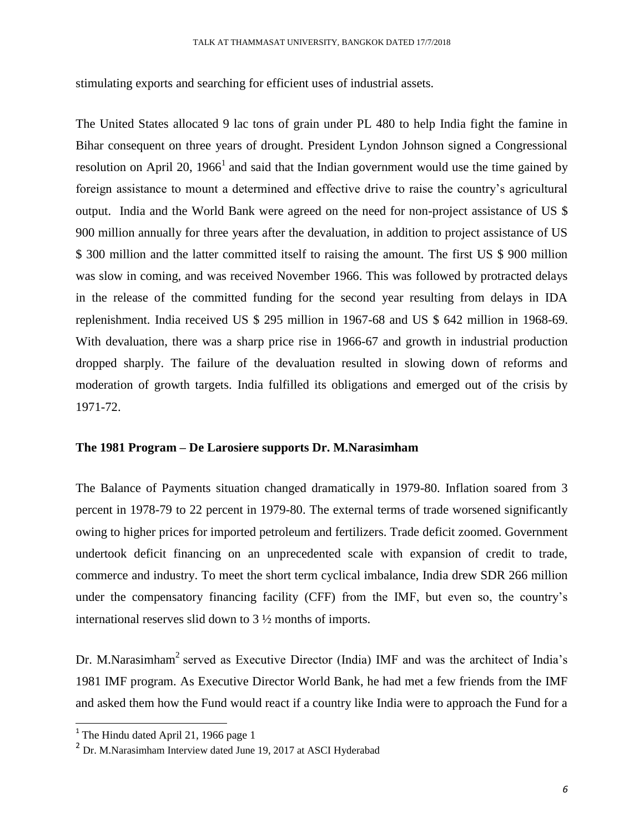stimulating exports and searching for efficient uses of industrial assets.

The United States allocated 9 lac tons of grain under PL 480 to help India fight the famine in Bihar consequent on three years of drought. President Lyndon Johnson signed a Congressional resolution on April 20, 1966<sup>1</sup> and said that the Indian government would use the time gained by foreign assistance to mount a determined and effective drive to raise the country's agricultural output. India and the World Bank were agreed on the need for non-project assistance of US \$ 900 million annually for three years after the devaluation, in addition to project assistance of US \$ 300 million and the latter committed itself to raising the amount. The first US \$ 900 million was slow in coming, and was received November 1966. This was followed by protracted delays in the release of the committed funding for the second year resulting from delays in IDA replenishment. India received US \$ 295 million in 1967-68 and US \$ 642 million in 1968-69. With devaluation, there was a sharp price rise in 1966-67 and growth in industrial production dropped sharply. The failure of the devaluation resulted in slowing down of reforms and moderation of growth targets. India fulfilled its obligations and emerged out of the crisis by 1971-72.

#### **The 1981 Program – De Larosiere supports Dr. M.Narasimham**

The Balance of Payments situation changed dramatically in 1979-80. Inflation soared from 3 percent in 1978-79 to 22 percent in 1979-80. The external terms of trade worsened significantly owing to higher prices for imported petroleum and fertilizers. Trade deficit zoomed. Government undertook deficit financing on an unprecedented scale with expansion of credit to trade, commerce and industry. To meet the short term cyclical imbalance, India drew SDR 266 million under the compensatory financing facility (CFF) from the IMF, but even so, the country's international reserves slid down to 3 ½ months of imports.

Dr. M.Narasimham<sup>2</sup> served as Executive Director (India) IMF and was the architect of India's 1981 IMF program. As Executive Director World Bank, he had met a few friends from the IMF and asked them how the Fund would react if a country like India were to approach the Fund for a

<sup>&</sup>lt;sup>1</sup> The Hindu dated April 21, 1966 page 1

<sup>&</sup>lt;sup>2</sup> Dr. M.Narasimham Interview dated June 19, 2017 at ASCI Hyderabad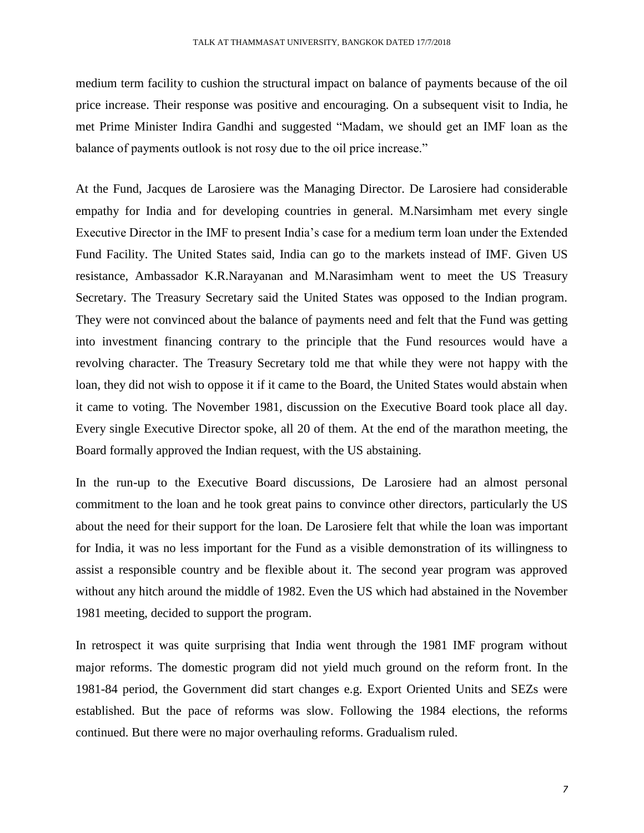medium term facility to cushion the structural impact on balance of payments because of the oil price increase. Their response was positive and encouraging. On a subsequent visit to India, he met Prime Minister Indira Gandhi and suggested "Madam, we should get an IMF loan as the balance of payments outlook is not rosy due to the oil price increase."

At the Fund, Jacques de Larosiere was the Managing Director. De Larosiere had considerable empathy for India and for developing countries in general. M.Narsimham met every single Executive Director in the IMF to present India's case for a medium term loan under the Extended Fund Facility. The United States said, India can go to the markets instead of IMF. Given US resistance, Ambassador K.R.Narayanan and M.Narasimham went to meet the US Treasury Secretary. The Treasury Secretary said the United States was opposed to the Indian program. They were not convinced about the balance of payments need and felt that the Fund was getting into investment financing contrary to the principle that the Fund resources would have a revolving character. The Treasury Secretary told me that while they were not happy with the loan, they did not wish to oppose it if it came to the Board, the United States would abstain when it came to voting. The November 1981, discussion on the Executive Board took place all day. Every single Executive Director spoke, all 20 of them. At the end of the marathon meeting, the Board formally approved the Indian request, with the US abstaining.

In the run-up to the Executive Board discussions, De Larosiere had an almost personal commitment to the loan and he took great pains to convince other directors, particularly the US about the need for their support for the loan. De Larosiere felt that while the loan was important for India, it was no less important for the Fund as a visible demonstration of its willingness to assist a responsible country and be flexible about it. The second year program was approved without any hitch around the middle of 1982. Even the US which had abstained in the November 1981 meeting, decided to support the program.

In retrospect it was quite surprising that India went through the 1981 IMF program without major reforms. The domestic program did not yield much ground on the reform front. In the 1981-84 period, the Government did start changes e.g. Export Oriented Units and SEZs were established. But the pace of reforms was slow. Following the 1984 elections, the reforms continued. But there were no major overhauling reforms. Gradualism ruled.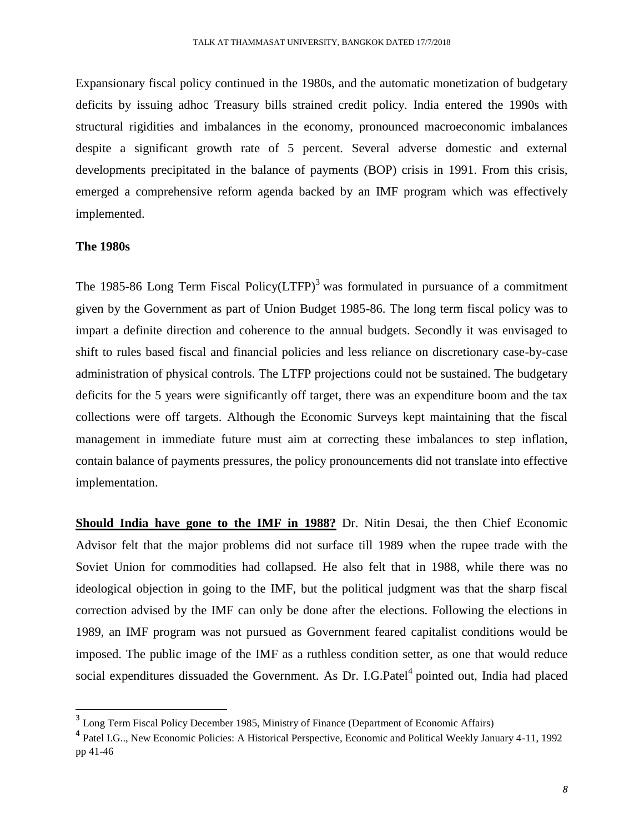Expansionary fiscal policy continued in the 1980s, and the automatic monetization of budgetary deficits by issuing adhoc Treasury bills strained credit policy. India entered the 1990s with structural rigidities and imbalances in the economy, pronounced macroeconomic imbalances despite a significant growth rate of 5 percent. Several adverse domestic and external developments precipitated in the balance of payments (BOP) crisis in 1991. From this crisis, emerged a comprehensive reform agenda backed by an IMF program which was effectively implemented.

#### **The 1980s**

The 1985-86 Long Term Fiscal Policy( $LTFP$ )<sup>3</sup> was formulated in pursuance of a commitment given by the Government as part of Union Budget 1985-86. The long term fiscal policy was to impart a definite direction and coherence to the annual budgets. Secondly it was envisaged to shift to rules based fiscal and financial policies and less reliance on discretionary case-by-case administration of physical controls. The LTFP projections could not be sustained. The budgetary deficits for the 5 years were significantly off target, there was an expenditure boom and the tax collections were off targets. Although the Economic Surveys kept maintaining that the fiscal management in immediate future must aim at correcting these imbalances to step inflation, contain balance of payments pressures, the policy pronouncements did not translate into effective implementation.

**Should India have gone to the IMF in 1988?** Dr. Nitin Desai, the then Chief Economic Advisor felt that the major problems did not surface till 1989 when the rupee trade with the Soviet Union for commodities had collapsed. He also felt that in 1988, while there was no ideological objection in going to the IMF, but the political judgment was that the sharp fiscal correction advised by the IMF can only be done after the elections. Following the elections in 1989, an IMF program was not pursued as Government feared capitalist conditions would be imposed. The public image of the IMF as a ruthless condition setter, as one that would reduce social expenditures dissuaded the Government. As Dr. I.G.Patel<sup>4</sup> pointed out, India had placed

<sup>&</sup>lt;sup>3</sup> Long Term Fiscal Policy December 1985, Ministry of Finance (Department of Economic Affairs)

<sup>&</sup>lt;sup>4</sup> Patel I.G.., New Economic Policies: A Historical Perspective, Economic and Political Weekly January 4-11, 1992 pp 41-46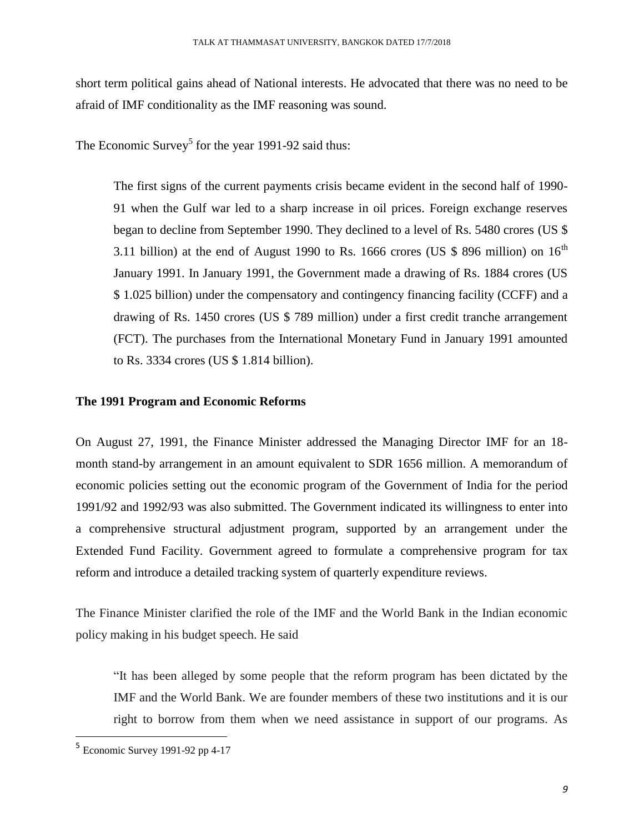short term political gains ahead of National interests. He advocated that there was no need to be afraid of IMF conditionality as the IMF reasoning was sound.

The Economic Survey<sup>5</sup> for the year 1991-92 said thus:

The first signs of the current payments crisis became evident in the second half of 1990- 91 when the Gulf war led to a sharp increase in oil prices. Foreign exchange reserves began to decline from September 1990. They declined to a level of Rs. 5480 crores (US \$ 3.11 billion) at the end of August 1990 to Rs. 1666 crores (US \$ 896 million) on  $16<sup>th</sup>$ January 1991. In January 1991, the Government made a drawing of Rs. 1884 crores (US \$ 1.025 billion) under the compensatory and contingency financing facility (CCFF) and a drawing of Rs. 1450 crores (US \$ 789 million) under a first credit tranche arrangement (FCT). The purchases from the International Monetary Fund in January 1991 amounted to Rs. 3334 crores (US \$ 1.814 billion).

#### **The 1991 Program and Economic Reforms**

On August 27, 1991, the Finance Minister addressed the Managing Director IMF for an 18 month stand-by arrangement in an amount equivalent to SDR 1656 million. A memorandum of economic policies setting out the economic program of the Government of India for the period 1991/92 and 1992/93 was also submitted. The Government indicated its willingness to enter into a comprehensive structural adjustment program, supported by an arrangement under the Extended Fund Facility. Government agreed to formulate a comprehensive program for tax reform and introduce a detailed tracking system of quarterly expenditure reviews.

The Finance Minister clarified the role of the IMF and the World Bank in the Indian economic policy making in his budget speech. He said

"It has been alleged by some people that the reform program has been dictated by the IMF and the World Bank. We are founder members of these two institutions and it is our right to borrow from them when we need assistance in support of our programs. As

<sup>&</sup>lt;sup>5</sup> Economic Survey 1991-92 pp 4-17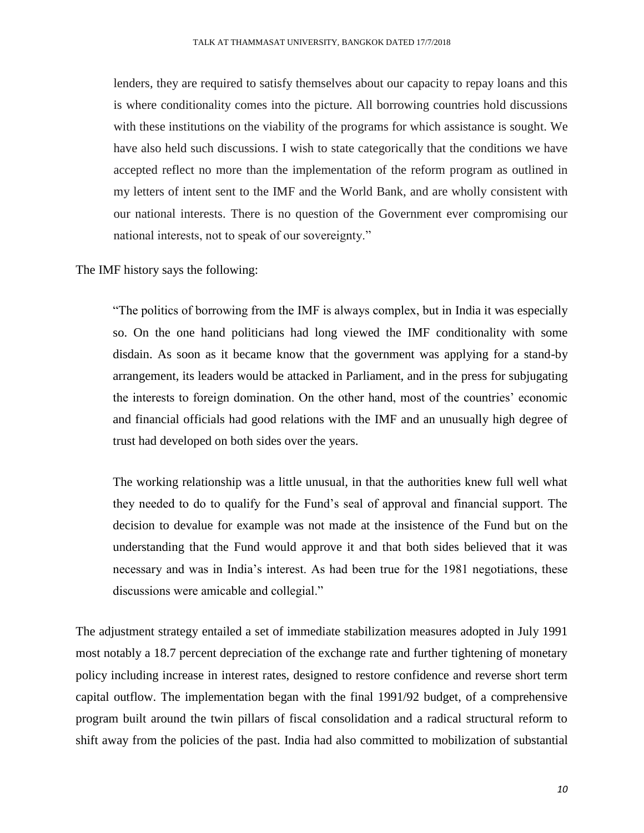lenders, they are required to satisfy themselves about our capacity to repay loans and this is where conditionality comes into the picture. All borrowing countries hold discussions with these institutions on the viability of the programs for which assistance is sought. We have also held such discussions. I wish to state categorically that the conditions we have accepted reflect no more than the implementation of the reform program as outlined in my letters of intent sent to the IMF and the World Bank, and are wholly consistent with our national interests. There is no question of the Government ever compromising our national interests, not to speak of our sovereignty."

The IMF history says the following:

"The politics of borrowing from the IMF is always complex, but in India it was especially so. On the one hand politicians had long viewed the IMF conditionality with some disdain. As soon as it became know that the government was applying for a stand-by arrangement, its leaders would be attacked in Parliament, and in the press for subjugating the interests to foreign domination. On the other hand, most of the countries' economic and financial officials had good relations with the IMF and an unusually high degree of trust had developed on both sides over the years.

The working relationship was a little unusual, in that the authorities knew full well what they needed to do to qualify for the Fund's seal of approval and financial support. The decision to devalue for example was not made at the insistence of the Fund but on the understanding that the Fund would approve it and that both sides believed that it was necessary and was in India's interest. As had been true for the 1981 negotiations, these discussions were amicable and collegial."

The adjustment strategy entailed a set of immediate stabilization measures adopted in July 1991 most notably a 18.7 percent depreciation of the exchange rate and further tightening of monetary policy including increase in interest rates, designed to restore confidence and reverse short term capital outflow. The implementation began with the final 1991/92 budget, of a comprehensive program built around the twin pillars of fiscal consolidation and a radical structural reform to shift away from the policies of the past. India had also committed to mobilization of substantial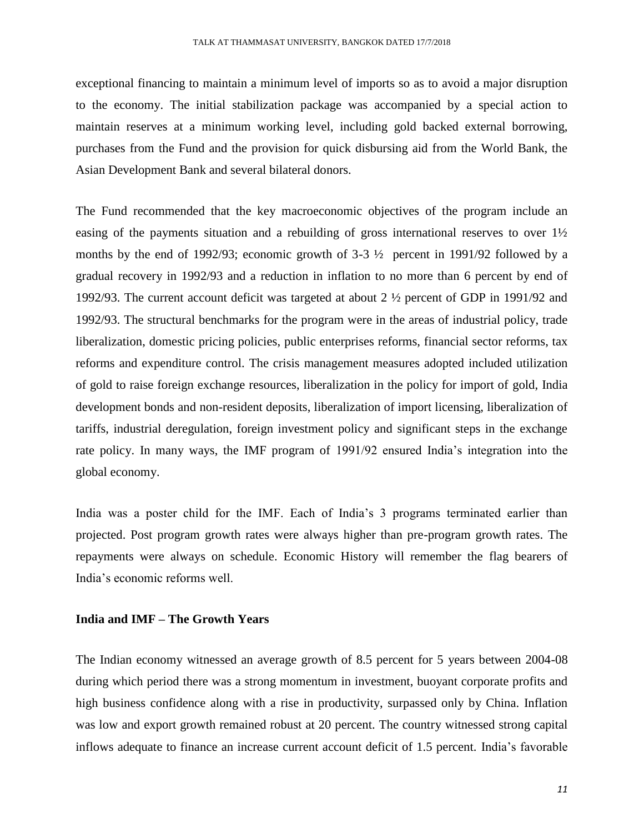exceptional financing to maintain a minimum level of imports so as to avoid a major disruption to the economy. The initial stabilization package was accompanied by a special action to maintain reserves at a minimum working level, including gold backed external borrowing, purchases from the Fund and the provision for quick disbursing aid from the World Bank, the Asian Development Bank and several bilateral donors.

The Fund recommended that the key macroeconomic objectives of the program include an easing of the payments situation and a rebuilding of gross international reserves to over  $1\frac{1}{2}$ months by the end of 1992/93; economic growth of 3-3 ½ percent in 1991/92 followed by a gradual recovery in 1992/93 and a reduction in inflation to no more than 6 percent by end of 1992/93. The current account deficit was targeted at about 2 ½ percent of GDP in 1991/92 and 1992/93. The structural benchmarks for the program were in the areas of industrial policy, trade liberalization, domestic pricing policies, public enterprises reforms, financial sector reforms, tax reforms and expenditure control. The crisis management measures adopted included utilization of gold to raise foreign exchange resources, liberalization in the policy for import of gold, India development bonds and non-resident deposits, liberalization of import licensing, liberalization of tariffs, industrial deregulation, foreign investment policy and significant steps in the exchange rate policy. In many ways, the IMF program of 1991/92 ensured India's integration into the global economy.

India was a poster child for the IMF. Each of India's 3 programs terminated earlier than projected. Post program growth rates were always higher than pre-program growth rates. The repayments were always on schedule. Economic History will remember the flag bearers of India's economic reforms well.

#### **India and IMF – The Growth Years**

The Indian economy witnessed an average growth of 8.5 percent for 5 years between 2004-08 during which period there was a strong momentum in investment, buoyant corporate profits and high business confidence along with a rise in productivity, surpassed only by China. Inflation was low and export growth remained robust at 20 percent. The country witnessed strong capital inflows adequate to finance an increase current account deficit of 1.5 percent. India's favorable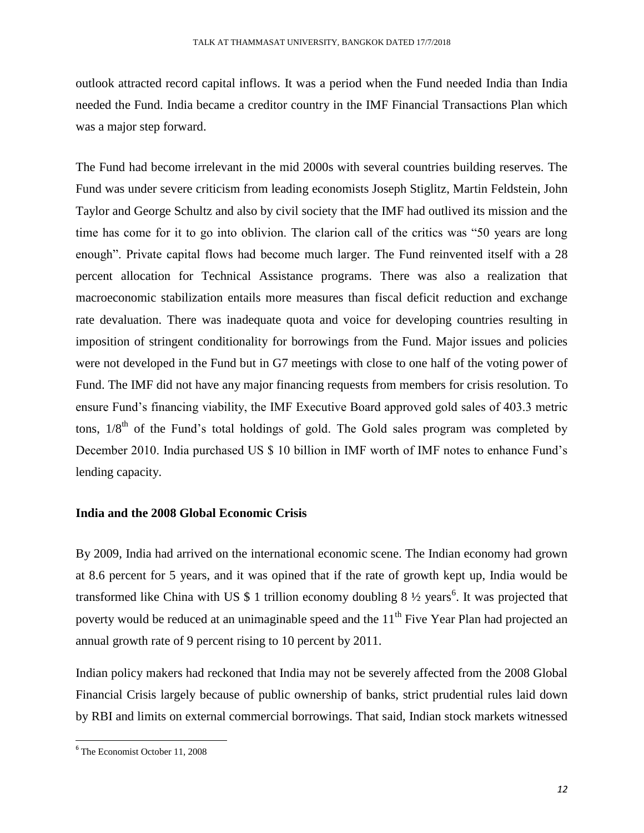outlook attracted record capital inflows. It was a period when the Fund needed India than India needed the Fund. India became a creditor country in the IMF Financial Transactions Plan which was a major step forward.

The Fund had become irrelevant in the mid 2000s with several countries building reserves. The Fund was under severe criticism from leading economists Joseph Stiglitz, Martin Feldstein, John Taylor and George Schultz and also by civil society that the IMF had outlived its mission and the time has come for it to go into oblivion. The clarion call of the critics was "50 years are long enough". Private capital flows had become much larger. The Fund reinvented itself with a 28 percent allocation for Technical Assistance programs. There was also a realization that macroeconomic stabilization entails more measures than fiscal deficit reduction and exchange rate devaluation. There was inadequate quota and voice for developing countries resulting in imposition of stringent conditionality for borrowings from the Fund. Major issues and policies were not developed in the Fund but in G7 meetings with close to one half of the voting power of Fund. The IMF did not have any major financing requests from members for crisis resolution. To ensure Fund's financing viability, the IMF Executive Board approved gold sales of 403.3 metric tons,  $1/8<sup>th</sup>$  of the Fund's total holdings of gold. The Gold sales program was completed by December 2010. India purchased US \$ 10 billion in IMF worth of IMF notes to enhance Fund's lending capacity.

#### **India and the 2008 Global Economic Crisis**

By 2009, India had arrived on the international economic scene. The Indian economy had grown at 8.6 percent for 5 years, and it was opined that if the rate of growth kept up, India would be transformed like China with US  $$1$  trillion economy doubling  $8\frac{1}{2}$  years<sup>6</sup>. It was projected that poverty would be reduced at an unimaginable speed and the  $11<sup>th</sup>$  Five Year Plan had projected an annual growth rate of 9 percent rising to 10 percent by 2011.

Indian policy makers had reckoned that India may not be severely affected from the 2008 Global Financial Crisis largely because of public ownership of banks, strict prudential rules laid down by RBI and limits on external commercial borrowings. That said, Indian stock markets witnessed

<sup>6</sup> The Economist October 11, 2008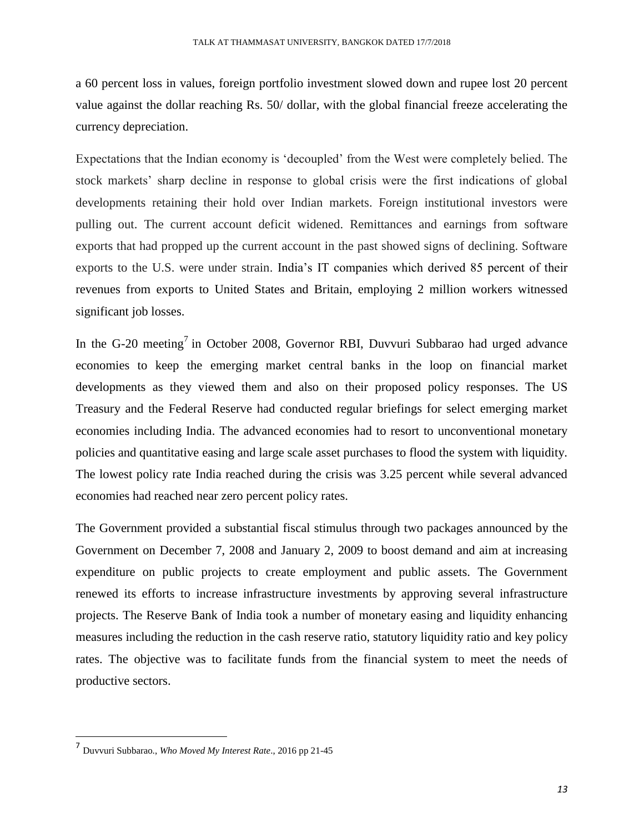a 60 percent loss in values, foreign portfolio investment slowed down and rupee lost 20 percent value against the dollar reaching Rs. 50/ dollar, with the global financial freeze accelerating the currency depreciation.

Expectations that the Indian economy is 'decoupled' from the West were completely belied. The stock markets' sharp decline in response to global crisis were the first indications of global developments retaining their hold over Indian markets. Foreign institutional investors were pulling out. The current account deficit widened. Remittances and earnings from software exports that had propped up the current account in the past showed signs of declining. Software exports to the U.S. were under strain. India's IT companies which derived 85 percent of their revenues from exports to United States and Britain, employing 2 million workers witnessed significant job losses.

In the G-20 meeting<sup>7</sup> in October 2008, Governor RBI, Duvvuri Subbarao had urged advance economies to keep the emerging market central banks in the loop on financial market developments as they viewed them and also on their proposed policy responses. The US Treasury and the Federal Reserve had conducted regular briefings for select emerging market economies including India. The advanced economies had to resort to unconventional monetary policies and quantitative easing and large scale asset purchases to flood the system with liquidity. The lowest policy rate India reached during the crisis was 3.25 percent while several advanced economies had reached near zero percent policy rates.

The Government provided a substantial fiscal stimulus through two packages announced by the Government on December 7, 2008 and January 2, 2009 to boost demand and aim at increasing expenditure on public projects to create employment and public assets. The Government renewed its efforts to increase infrastructure investments by approving several infrastructure projects. The Reserve Bank of India took a number of monetary easing and liquidity enhancing measures including the reduction in the cash reserve ratio, statutory liquidity ratio and key policy rates. The objective was to facilitate funds from the financial system to meet the needs of productive sectors.

<sup>7</sup> Duvvuri Subbarao., *Who Moved My Interest Rate*., 2016 pp 21-45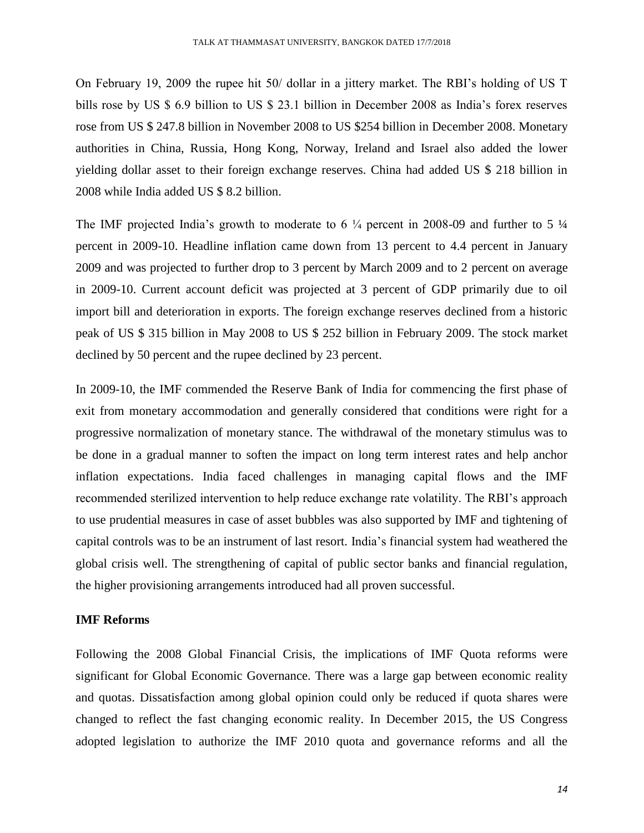On February 19, 2009 the rupee hit 50/ dollar in a jittery market. The RBI's holding of US T bills rose by US \$ 6.9 billion to US \$ 23.1 billion in December 2008 as India's forex reserves rose from US \$ 247.8 billion in November 2008 to US \$254 billion in December 2008. Monetary authorities in China, Russia, Hong Kong, Norway, Ireland and Israel also added the lower yielding dollar asset to their foreign exchange reserves. China had added US \$ 218 billion in 2008 while India added US \$ 8.2 billion.

The IMF projected India's growth to moderate to 6  $\frac{1}{4}$  percent in 2008-09 and further to 5  $\frac{1}{4}$ percent in 2009-10. Headline inflation came down from 13 percent to 4.4 percent in January 2009 and was projected to further drop to 3 percent by March 2009 and to 2 percent on average in 2009-10. Current account deficit was projected at 3 percent of GDP primarily due to oil import bill and deterioration in exports. The foreign exchange reserves declined from a historic peak of US \$ 315 billion in May 2008 to US \$ 252 billion in February 2009. The stock market declined by 50 percent and the rupee declined by 23 percent.

In 2009-10, the IMF commended the Reserve Bank of India for commencing the first phase of exit from monetary accommodation and generally considered that conditions were right for a progressive normalization of monetary stance. The withdrawal of the monetary stimulus was to be done in a gradual manner to soften the impact on long term interest rates and help anchor inflation expectations. India faced challenges in managing capital flows and the IMF recommended sterilized intervention to help reduce exchange rate volatility. The RBI's approach to use prudential measures in case of asset bubbles was also supported by IMF and tightening of capital controls was to be an instrument of last resort. India's financial system had weathered the global crisis well. The strengthening of capital of public sector banks and financial regulation, the higher provisioning arrangements introduced had all proven successful.

#### **IMF Reforms**

Following the 2008 Global Financial Crisis, the implications of IMF Quota reforms were significant for Global Economic Governance. There was a large gap between economic reality and quotas. Dissatisfaction among global opinion could only be reduced if quota shares were changed to reflect the fast changing economic reality. In December 2015, the US Congress adopted legislation to authorize the IMF 2010 quota and governance reforms and all the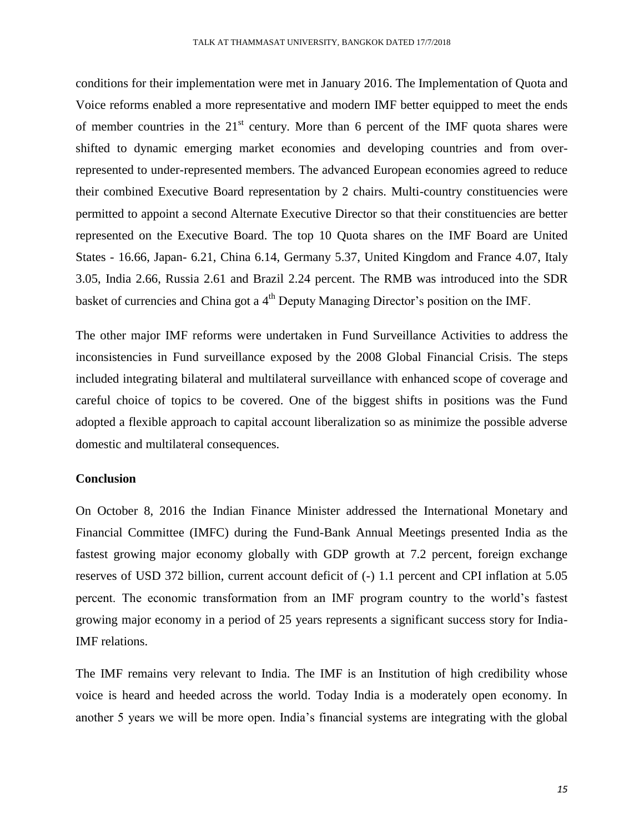conditions for their implementation were met in January 2016. The Implementation of Quota and Voice reforms enabled a more representative and modern IMF better equipped to meet the ends of member countries in the  $21<sup>st</sup>$  century. More than 6 percent of the IMF quota shares were shifted to dynamic emerging market economies and developing countries and from overrepresented to under-represented members. The advanced European economies agreed to reduce their combined Executive Board representation by 2 chairs. Multi-country constituencies were permitted to appoint a second Alternate Executive Director so that their constituencies are better represented on the Executive Board. The top 10 Quota shares on the IMF Board are United States - 16.66, Japan- 6.21, China 6.14, Germany 5.37, United Kingdom and France 4.07, Italy 3.05, India 2.66, Russia 2.61 and Brazil 2.24 percent. The RMB was introduced into the SDR basket of currencies and China got a 4<sup>th</sup> Deputy Managing Director's position on the IMF.

The other major IMF reforms were undertaken in Fund Surveillance Activities to address the inconsistencies in Fund surveillance exposed by the 2008 Global Financial Crisis. The steps included integrating bilateral and multilateral surveillance with enhanced scope of coverage and careful choice of topics to be covered. One of the biggest shifts in positions was the Fund adopted a flexible approach to capital account liberalization so as minimize the possible adverse domestic and multilateral consequences.

#### **Conclusion**

On October 8, 2016 the Indian Finance Minister addressed the International Monetary and Financial Committee (IMFC) during the Fund-Bank Annual Meetings presented India as the fastest growing major economy globally with GDP growth at 7.2 percent, foreign exchange reserves of USD 372 billion, current account deficit of (-) 1.1 percent and CPI inflation at 5.05 percent. The economic transformation from an IMF program country to the world's fastest growing major economy in a period of 25 years represents a significant success story for India-IMF relations.

The IMF remains very relevant to India. The IMF is an Institution of high credibility whose voice is heard and heeded across the world. Today India is a moderately open economy. In another 5 years we will be more open. India's financial systems are integrating with the global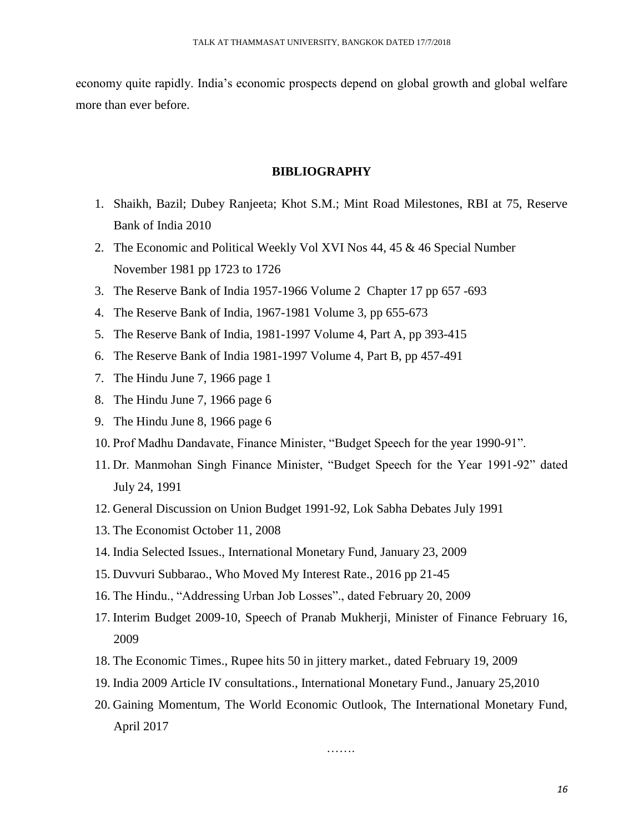economy quite rapidly. India's economic prospects depend on global growth and global welfare more than ever before.

#### **BIBLIOGRAPHY**

- 1. Shaikh, Bazil; Dubey Ranjeeta; Khot S.M.; Mint Road Milestones, RBI at 75, Reserve Bank of India 2010
- 2. The Economic and Political Weekly Vol XVI Nos 44, 45 & 46 Special Number November 1981 pp 1723 to 1726
- 3. The Reserve Bank of India 1957-1966 Volume 2 Chapter 17 pp 657 -693
- 4. The Reserve Bank of India, 1967-1981 Volume 3, pp 655-673
- 5. The Reserve Bank of India, 1981-1997 Volume 4, Part A, pp 393-415
- 6. The Reserve Bank of India 1981-1997 Volume 4, Part B, pp 457-491
- 7. The Hindu June 7, 1966 page 1
- 8. The Hindu June 7, 1966 page 6
- 9. The Hindu June 8, 1966 page 6
- 10. Prof Madhu Dandavate, Finance Minister, "Budget Speech for the year 1990-91".
- 11. Dr. Manmohan Singh Finance Minister, "Budget Speech for the Year 1991-92" dated July 24, 1991
- 12. General Discussion on Union Budget 1991-92, Lok Sabha Debates July 1991
- 13. The Economist October 11, 2008
- 14. India Selected Issues., International Monetary Fund, January 23, 2009
- 15. Duvvuri Subbarao., Who Moved My Interest Rate., 2016 pp 21-45
- 16. The Hindu., "Addressing Urban Job Losses"., dated February 20, 2009
- 17. Interim Budget 2009-10, Speech of Pranab Mukherji, Minister of Finance February 16, 2009
- 18. The Economic Times., Rupee hits 50 in jittery market., dated February 19, 2009
- 19. India 2009 Article IV consultations., International Monetary Fund., January 25,2010
- 20. Gaining Momentum, The World Economic Outlook, The International Monetary Fund, April 2017

………